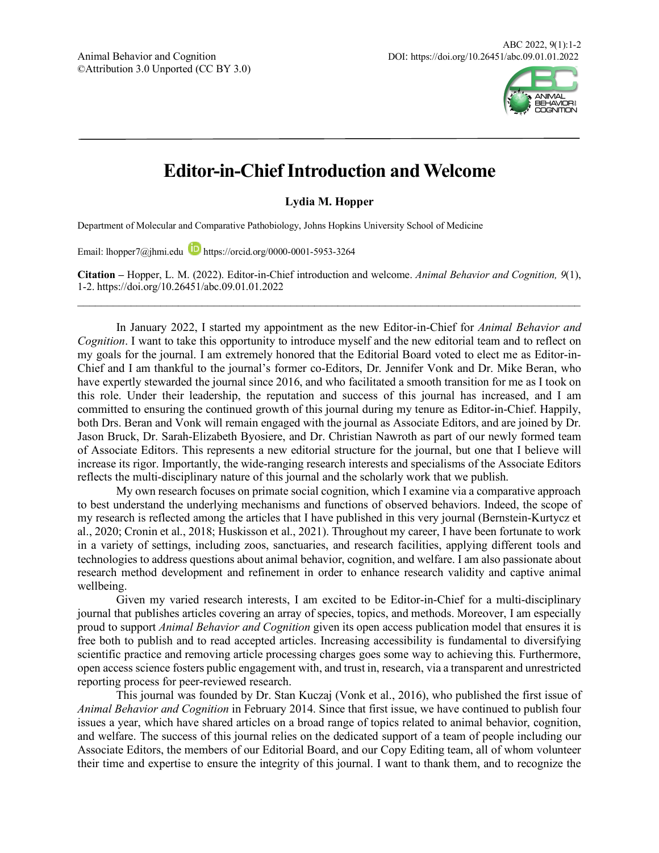

## **Editor-in-Chief Introduction and Welcome**

**Lydia M. Hopper**

Department of Molecular and Comparative Pathobiology, Johns Hopkins University School of Medicine

Email: lhopper7@jhmi.edu https://orcid.org/0000-0001-5953-3264

**Citation –** Hopper, L. M. (2022). Editor-in-Chief introduction and welcome. *Animal Behavior and Cognition, 9*(1), 1-2. https://doi.org/10.26451/abc.09.01.01.2022  $\mathcal{L}_\text{max} = \mathcal{L}_\text{max} = \mathcal{L}_\text{max} = \mathcal{L}_\text{max} = \mathcal{L}_\text{max} = \mathcal{L}_\text{max} = \mathcal{L}_\text{max} = \mathcal{L}_\text{max} = \mathcal{L}_\text{max} = \mathcal{L}_\text{max} = \mathcal{L}_\text{max} = \mathcal{L}_\text{max} = \mathcal{L}_\text{max} = \mathcal{L}_\text{max} = \mathcal{L}_\text{max} = \mathcal{L}_\text{max} = \mathcal{L}_\text{max} = \mathcal{L}_\text{max} = \mathcal{$ 

In January 2022, I started my appointment as the new Editor-in-Chief for *Animal Behavior and Cognition*. I want to take this opportunity to introduce myself and the new editorial team and to reflect on my goals for the journal. I am extremely honored that the Editorial Board voted to elect me as Editor-in-Chief and I am thankful to the journal's former co-Editors, Dr. Jennifer Vonk and Dr. Mike Beran, who have expertly stewarded the journal since 2016, and who facilitated a smooth transition for me as I took on this role. Under their leadership, the reputation and success of this journal has increased, and I am committed to ensuring the continued growth of this journal during my tenure as Editor-in-Chief. Happily, both Drs. Beran and Vonk will remain engaged with the journal as Associate Editors, and are joined by Dr. Jason Bruck, Dr. Sarah-Elizabeth Byosiere, and Dr. Christian Nawroth as part of our newly formed team of Associate Editors. This represents a new editorial structure for the journal, but one that I believe will increase its rigor. Importantly, the wide-ranging research interests and specialisms of the Associate Editors reflects the multi-disciplinary nature of this journal and the scholarly work that we publish.

My own research focuses on primate social cognition, which I examine via a comparative approach to best understand the underlying mechanisms and functions of observed behaviors. Indeed, the scope of my research is reflected among the articles that I have published in this very journal (Bernstein-Kurtycz et al., 2020; Cronin et al., 2018; Huskisson et al., 2021). Throughout my career, I have been fortunate to work in a variety of settings, including zoos, sanctuaries, and research facilities, applying different tools and technologies to address questions about animal behavior, cognition, and welfare. I am also passionate about research method development and refinement in order to enhance research validity and captive animal wellbeing.

Given my varied research interests, I am excited to be Editor-in-Chief for a multi-disciplinary journal that publishes articles covering an array of species, topics, and methods. Moreover, I am especially proud to support *Animal Behavior and Cognition* given its open access publication model that ensures it is free both to publish and to read accepted articles. Increasing accessibility is fundamental to diversifying scientific practice and removing article processing charges goes some way to achieving this. Furthermore, open access science fosters public engagement with, and trust in, research, via a transparent and unrestricted reporting process for peer-reviewed research.

This journal was founded by Dr. Stan Kuczaj (Vonk et al., 2016), who published the first issue of *Animal Behavior and Cognition* in February 2014. Since that first issue, we have continued to publish four issues a year, which have shared articles on a broad range of topics related to animal behavior, cognition, and welfare. The success of this journal relies on the dedicated support of a team of people including our Associate Editors, the members of our Editorial Board, and our Copy Editing team, all of whom volunteer their time and expertise to ensure the integrity of this journal. I want to thank them, and to recognize the